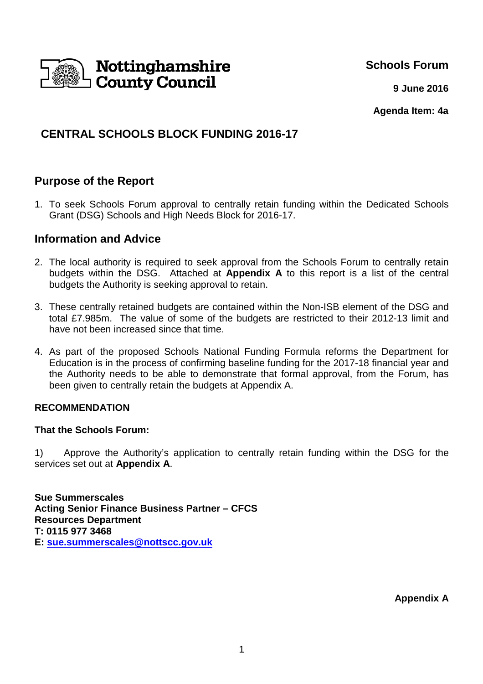

**Schools Forum**

**9 June 2016**

**Agenda Item: 4a**

# **CENTRAL SCHOOLS BLOCK FUNDING 2016-17**

## **Purpose of the Report**

1. To seek Schools Forum approval to centrally retain funding within the Dedicated Schools Grant (DSG) Schools and High Needs Block for 2016-17.

## **Information and Advice**

- 2. The local authority is required to seek approval from the Schools Forum to centrally retain budgets within the DSG. Attached at **Appendix A** to this report is a list of the central budgets the Authority is seeking approval to retain.
- 3. These centrally retained budgets are contained within the Non-ISB element of the DSG and total £7.985m. The value of some of the budgets are restricted to their 2012-13 limit and have not been increased since that time.
- 4. As part of the proposed Schools National Funding Formula reforms the Department for Education is in the process of confirming baseline funding for the 2017-18 financial year and the Authority needs to be able to demonstrate that formal approval, from the Forum, has been given to centrally retain the budgets at Appendix A.

#### **RECOMMENDATION**

#### **That the Schools Forum:**

1) Approve the Authority's application to centrally retain funding within the DSG for the services set out at **Appendix A**.

**Sue Summerscales Acting Senior Finance Business Partner – CFCS Resources Department T: 0115 977 3468 E: sue.summerscales@nottscc.gov.uk**

**Appendix A**